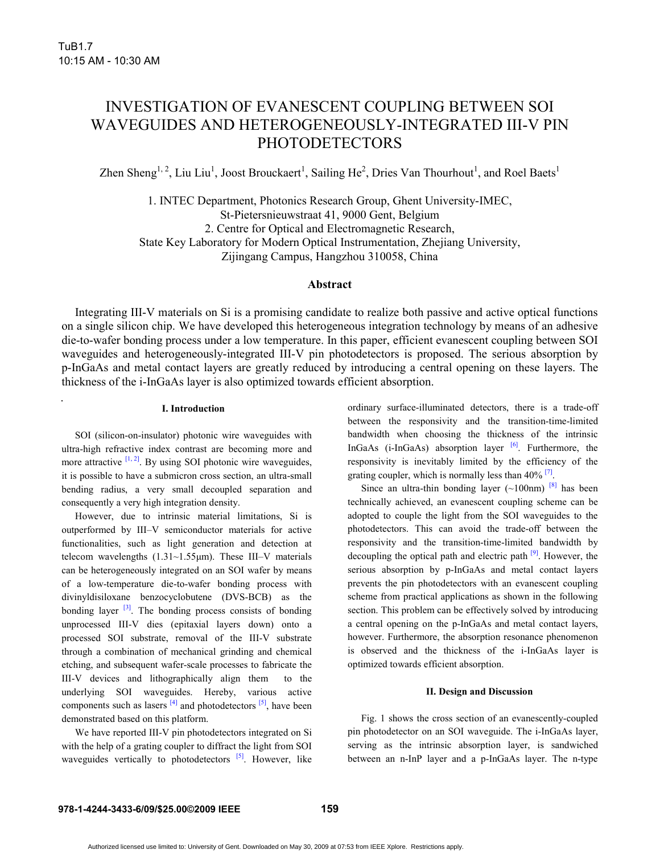# INVESTIGATION OF EVANESCENT COUPLING BETWEEN SOI WAVEGUIDES AND HETEROGENEOUSLY-INTEGRATED III-V PIN **PHOTODETECTORS**

Zhen Sheng<sup>1, 2</sup>, Liu Liu<sup>1</sup>, Joost Brouckaert<sup>1</sup>, Sailing He<sup>2</sup>, Dries Van Thourhout<sup>1</sup>, and Roel Baets<sup>1</sup>

1. INTEC Department, Photonics Research Group, Ghent University-IMEC, St-Pietersnieuwstraat 41, 9000 Gent, Belgium 2. Centre for Optical and Electromagnetic Research, State Key Laboratory for Modern Optical Instrumentation, Zhejiang University, Zijingang Campus, Hangzhou 310058, China

# **Abstract**

Integrating III-V materials on Si is a promising candidate to realize both passive and active optical functions on a single silicon chip. We have developed this heterogeneous integration technology by means of an adhesive die-to-wafer bonding process under a low temperature. In this paper, efficient evanescent coupling between SOI waveguides and heterogeneously-integrated III-V pin photodetectors is proposed. The serious absorption by p-InGaAs and metal contact layers are greatly reduced by introducing a central opening on these layers. The thickness of the i-InGaAs layer is also optimized towards efficient absorption.

## **I. Introduction**

SOI (silicon-on-insulator) photonic wire waveguides with ultra-high refractive index contrast are becoming more and more attractive  $[1, 2]$ . By using SOI photonic wire waveguides, it is possible to have a submicron cross section, an ultra-small bending radius, a very small decoupled separation and consequently a very high integration density.

However, due to intrinsic material limitations, Si is outperformed by III–V semiconductor materials for active functionalities, such as light generation and detection at telecom wavelengths (1.31~1.55μm). These III–V materials can be heterogeneously integrated on an SOI wafer by means of a low-temperature die-to-wafer bonding process with divinyldisiloxane benzocyclobutene (DVS-BCB) as the bonding layer  $[3]$ . The bonding process consists of bonding unprocessed III-V dies (epitaxial layers down) onto a processed SOI substrate, removal of the III-V substrate through a combination of mechanical grinding and chemical etching, and subsequent wafer-scale processes to fabricate the III-V devices and lithographically align them to the underlying SOI waveguides. Hereby, various active components such as lasers  $\frac{[4]}{[4]}$  and photodetectors  $\frac{[5]}{[5]}$ , have been demonstrated based on this platform.

We have reported III-V pin photodetectors integrated on Si with the help of a grating coupler to diffract the light from SOI waveguides vertically to photodetectors  $[5]$ . However, like ordinary surface-illuminated detectors, there is a trade-off between the responsivity and the transition-time-limited bandwidth when choosing the thickness of the intrinsic InGaAs (i-InGaAs) absorption layer <sup>[6]</sup>. Furthermore, the responsivity is inevitably limited by the efficiency of the grating coupler, which is normally less than  $40\%$ <sup>[7]</sup>.

Since an ultra-thin bonding layer  $(\sim 100$ nm)  $^{[8]}$  has been technically achieved, an evanescent coupling scheme can be adopted to couple the light from the SOI waveguides to the photodetectors. This can avoid the trade-off between the responsivity and the transition-time-limited bandwidth by decoupling the optical path and electric path  $[9]$ . However, the serious absorption by p-InGaAs and metal contact layers prevents the pin photodetectors with an evanescent coupling scheme from practical applications as shown in the following section. This problem can be effectively solved by introducing a central opening on the p-InGaAs and metal contact layers, however. Furthermore, the absorption resonance phenomenon is observed and the thickness of the i-InGaAs layer is optimized towards efficient absorption.

#### **II. Design and Discussion**

Fig. 1 shows the cross section of an evanescently-coupled pin photodetector on an SOI waveguide. The i-InGaAs layer, serving as the intrinsic absorption layer, is sandwiched between an n-InP layer and a p-InGaAs layer. The n-type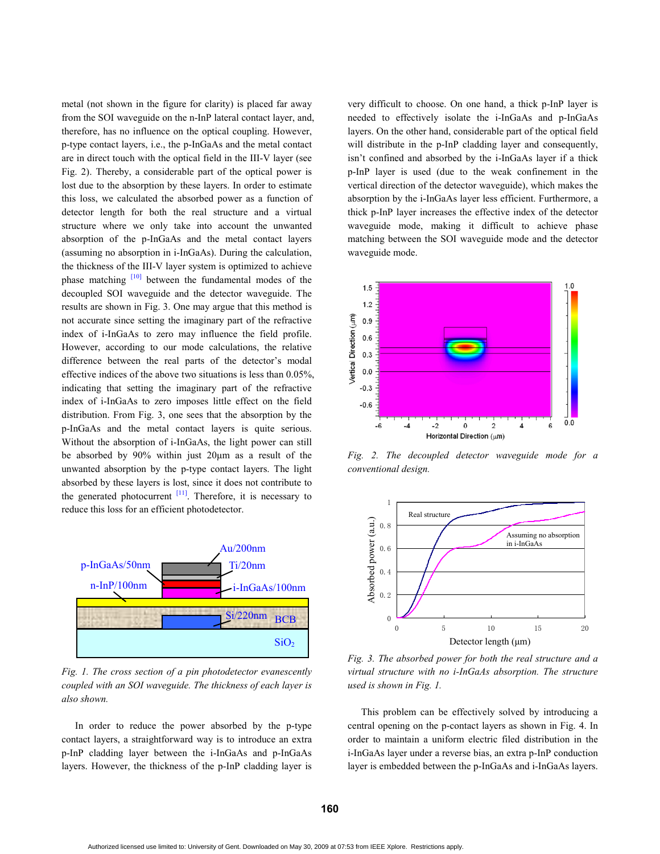metal (not shown in the figure for clarity) is placed far away from the SOI waveguide on the n-InP lateral contact layer, and, therefore, has no influence on the optical coupling. However, p-type contact layers, i.e., the p-InGaAs and the metal contact are in direct touch with the optical field in the III-V layer (see Fig. 2). Thereby, a considerable part of the optical power is lost due to the absorption by these layers. In order to estimate this loss, we calculated the absorbed power as a function of detector length for both the real structure and a virtual structure where we only take into account the unwanted absorption of the p-InGaAs and the metal contact layers (assuming no absorption in i-InGaAs). During the calculation, the thickness of the III-V layer system is optimized to achieve phase matching  $[10]$  between the fundamental modes of the decoupled SOI waveguide and the detector waveguide. The results are shown in Fig. 3. One may argue that this method is not accurate since setting the imaginary part of the refractive index of i-InGaAs to zero may influence the field profile. However, according to our mode calculations, the relative difference between the real parts of the detector's modal effective indices of the above two situations is less than 0.05%, indicating that setting the imaginary part of the refractive index of i-InGaAs to zero imposes little effect on the field distribution. From Fig. 3, one sees that the absorption by the p-InGaAs and the metal contact layers is quite serious. Without the absorption of i-InGaAs, the light power can still be absorbed by 90% within just 20μm as a result of the unwanted absorption by the p-type contact layers. The light absorbed by these layers is lost, since it does not contribute to the generated photocurrent  $[11]$ . Therefore, it is necessary to reduce this loss for an efficient photodetector.



*Fig. 1. The cross section of a pin photodetector evanescently coupled with an SOI waveguide. The thickness of each layer is also shown.* 

In order to reduce the power absorbed by the p-type contact layers, a straightforward way is to introduce an extra p-InP cladding layer between the i-InGaAs and p-InGaAs layers. However, the thickness of the p-InP cladding layer is very difficult to choose. On one hand, a thick p-InP layer is needed to effectively isolate the i-InGaAs and p-InGaAs layers. On the other hand, considerable part of the optical field will distribute in the p-InP cladding layer and consequently, isn't confined and absorbed by the i-InGaAs layer if a thick p-InP layer is used (due to the weak confinement in the vertical direction of the detector waveguide), which makes the absorption by the i-InGaAs layer less efficient. Furthermore, a thick p-InP layer increases the effective index of the detector waveguide mode, making it difficult to achieve phase matching between the SOI waveguide mode and the detector waveguide mode.



*Fig. 2. The decoupled detector waveguide mode for a conventional design.* 



*Fig. 3. The absorbed power for both the real structure and a virtual structure with no i-InGaAs absorption. The structure used is shown in Fig. 1.* 

This problem can be effectively solved by introducing a central opening on the p-contact layers as shown in Fig. 4. In order to maintain a uniform electric filed distribution in the i-InGaAs layer under a reverse bias, an extra p-InP conduction layer is embedded between the p-InGaAs and i-InGaAs layers.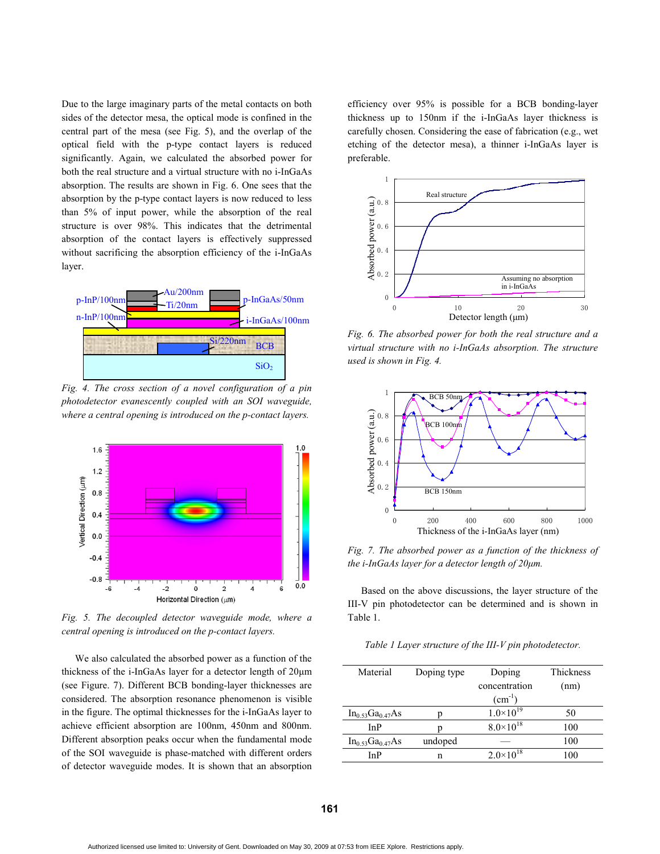Due to the large imaginary parts of the metal contacts on both sides of the detector mesa, the optical mode is confined in the central part of the mesa (see Fig. 5), and the overlap of the optical field with the p-type contact layers is reduced significantly. Again, we calculated the absorbed power for both the real structure and a virtual structure with no i-InGaAs absorption. The results are shown in Fig. 6. One sees that the absorption by the p-type contact layers is now reduced to less than 5% of input power, while the absorption of the real structure is over 98%. This indicates that the detrimental absorption of the contact layers is effectively suppressed without sacrificing the absorption efficiency of the i-InGaAs layer.



*Fig. 4. The cross section of a novel configuration of a pin photodetector evanescently coupled with an SOI waveguide, where a central opening is introduced on the p-contact layers.* 



*Fig. 5. The decoupled detector waveguide mode, where a central opening is introduced on the p-contact layers.* 

We also calculated the absorbed power as a function of the thickness of the i-InGaAs layer for a detector length of 20μm (see Figure. 7). Different BCB bonding-layer thicknesses are considered. The absorption resonance phenomenon is visible in the figure. The optimal thicknesses for the i-InGaAs layer to achieve efficient absorption are 100nm, 450nm and 800nm. Different absorption peaks occur when the fundamental mode of the SOI waveguide is phase-matched with different orders of detector waveguide modes. It is shown that an absorption efficiency over 95% is possible for a BCB bonding-layer thickness up to 150nm if the i-InGaAs layer thickness is carefully chosen. Considering the ease of fabrication (e.g., wet etching of the detector mesa), a thinner i-InGaAs layer is preferable.



*Fig. 6. The absorbed power for both the real structure and a virtual structure with no i-InGaAs absorption. The structure used is shown in Fig. 4.* 



*Fig. 7. The absorbed power as a function of the thickness of the i-InGaAs layer for a detector length of 20μm.* 

Based on the above discussions, the layer structure of the III-V pin photodetector can be determined and is shown in Table 1.

*Table 1 Layer structure of the III-V pin photodetector.* 

| Material               | Doping type | Doping<br>concentration<br>$(cm^{-1})$ | Thickness<br>(nm) |
|------------------------|-------------|----------------------------------------|-------------------|
| $In_{0.53}Ga_{0.47}As$ |             | $1.0\times10^{19}$                     | 50                |
| InP                    |             | $8.0\times10^{18}$                     | 100               |
| $In_{0.53}Ga_{0.47}As$ | undoped     |                                        | 100               |
| InP                    | n           | $2.0\times10^{18}$                     | 100               |